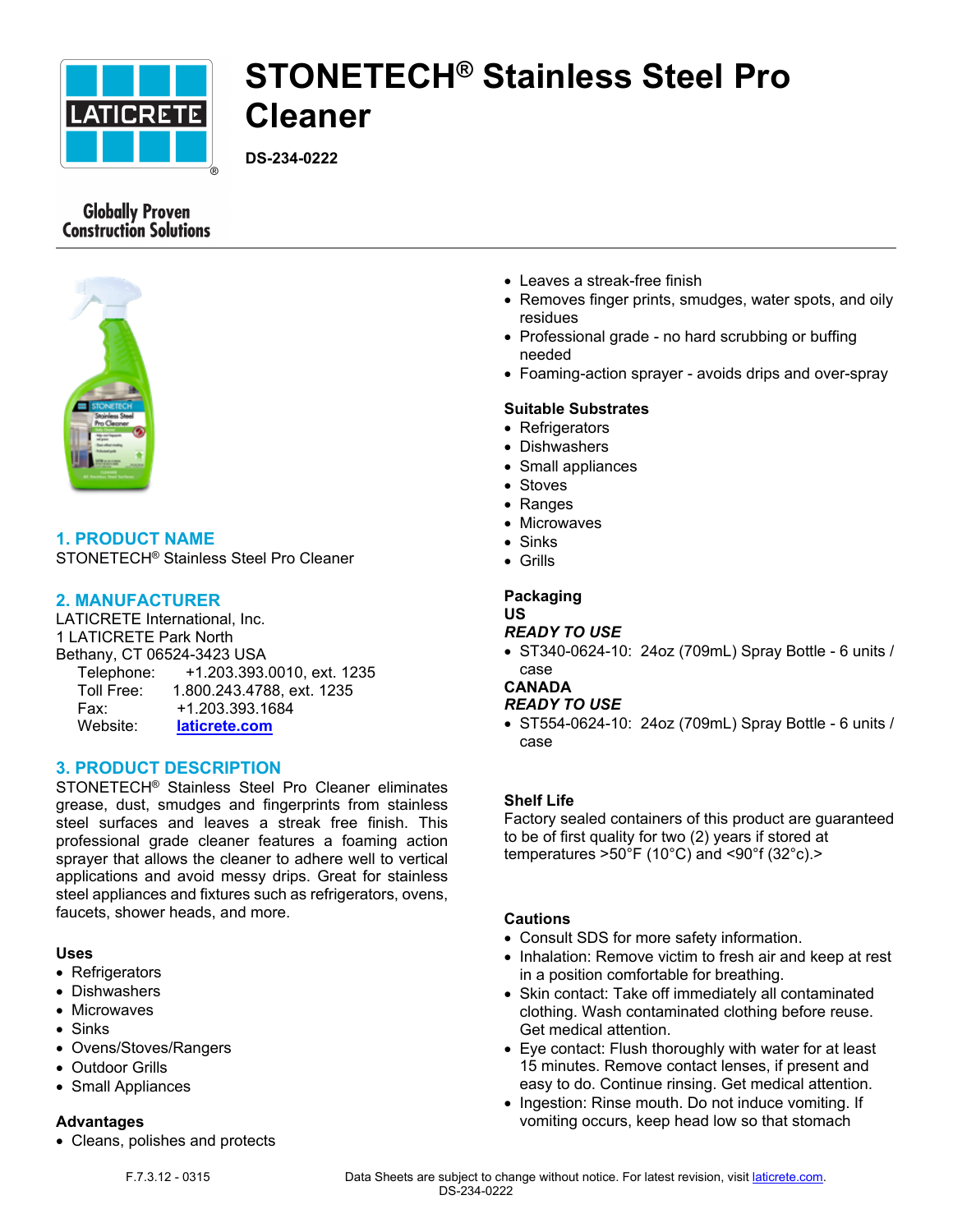

# **STONETECH® Stainless Steel Pro Cleaner**

**DS-234-0222**

# **Globally Proven Construction Solutions**



# **1. PRODUCT NAME**

STONETECH® Stainless Steel Pro Cleaner

# **2. MANUFACTURER**

LATICRETE International, Inc. 1 LATICRETE Park North Bethany, CT 06524-3423 USA Telephone: +1.203.393.0010, ext. 1235 Toll Free: 1.800.243.4788, ext. 1235 Fax: +1.203.393.1684 Website: **[laticrete.com](https://laticrete.com/)**

# **3. PRODUCT DESCRIPTION**

STONETECH® Stainless Steel Pro Cleaner eliminates grease, dust, smudges and fingerprints from stainless steel surfaces and leaves a streak free finish. This professional grade cleaner features a foaming action sprayer that allows the cleaner to adhere well to vertical applications and avoid messy drips. Great for stainless steel appliances and fixtures such as refrigerators, ovens, faucets, shower heads, and more.

#### **Uses**

- Refrigerators
- Dishwashers
- Microwaves
- Sinks
- Ovens/Stoves/Rangers
- Outdoor Grills
- Small Appliances

#### **Advantages**

• Cleans, polishes and protects

- Leaves a streak-free finish
- Removes finger prints, smudges, water spots, and oily residues
- Professional grade no hard scrubbing or buffing needed
- Foaming-action sprayer avoids drips and over-spray

#### **Suitable Substrates**

- Refrigerators
- Dishwashers
- Small appliances
- Stoves
- Ranges
- Microwaves
- Sinks
- Grills

#### **Packaging US**

## *READY TO USE*

• ST340-0624-10: 24oz (709mL) Spray Bottle - 6 units / case

# **CANADA**

## *READY TO USE*

• ST554-0624-10: 24oz (709mL) Spray Bottle - 6 units / case

#### **Shelf Life**

Factory sealed containers of this product are guaranteed to be of first quality for two (2) years if stored at temperatures >50°F (10°C) and <90°f (32°c).>

## **Cautions**

- Consult SDS for more safety information.
- Inhalation: Remove victim to fresh air and keep at rest in a position comfortable for breathing.
- Skin contact: Take off immediately all contaminated clothing. Wash contaminated clothing before reuse. Get medical attention.
- Eye contact: Flush thoroughly with water for at least 15 minutes. Remove contact lenses, if present and easy to do. Continue rinsing. Get medical attention.
- Ingestion: Rinse mouth. Do not induce vomiting. If vomiting occurs, keep head low so that stomach